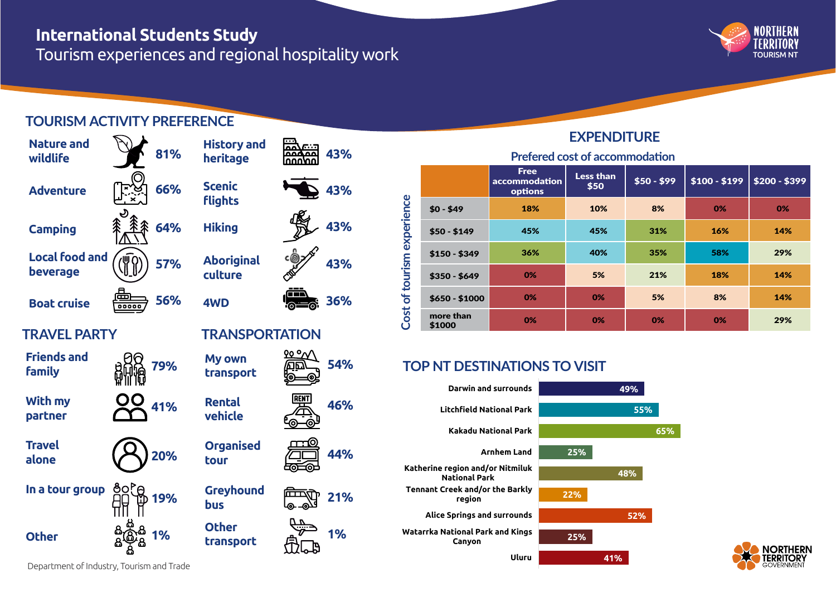# **International Students Study**

Tourism experiences and regional hospitality work



# **TOURISM ACTIVITY PREFERENCE**



| ic<br>ts              |                  | 43% |  |  |  |  |
|-----------------------|------------------|-----|--|--|--|--|
| ١g                    |                  | 43% |  |  |  |  |
| riginal<br><u>ire</u> |                  | 43% |  |  |  |  |
|                       |                  | 36% |  |  |  |  |
| <b>NSPORTATION</b>    |                  |     |  |  |  |  |
| <u>מאכ</u><br>sport   |                  | 54% |  |  |  |  |
| tal<br>cle            | <b>RENT</b><br>E | 46% |  |  |  |  |
| anised                |                  | 44% |  |  |  |  |
| /hound                |                  | 21% |  |  |  |  |

**43%**

**1%**

# **EXPENDITURE**

**Prefered cost of accommodation** 

| of tourism experience<br>Cost |                     | <b>Free</b><br>$\overline{\phantom{a}}$ accommodation<br>options | <b>Less than</b><br>\$50 | $$50 - $99$ | $$100 - $199$ | $$200 - $399$ |  |  |
|-------------------------------|---------------------|------------------------------------------------------------------|--------------------------|-------------|---------------|---------------|--|--|
|                               | $$0 - $49$          | 18%                                                              | 10%                      | 8%          | 0%            | 0%            |  |  |
|                               | $$50 - $149$        | 45%                                                              | 45%                      | 31%         | 16%           | 14%           |  |  |
|                               | $$150 - $349$       | 36%                                                              | 40%                      | 35%         | 58%           | 29%           |  |  |
|                               | $$350 - $649$       | 0%                                                               | 5%                       | 21%         | 18%           | 14%           |  |  |
|                               | $$650 - $1000$      | 0%                                                               | 0%                       | 5%          | 8%            | 14%           |  |  |
|                               | more than<br>\$1000 | 0%                                                               | 0%                       | 0%          | 0%            | 29%           |  |  |

# **TOP NT DESTINATIONS TO VISIT**





#### Department of Industry, Tourism and Trade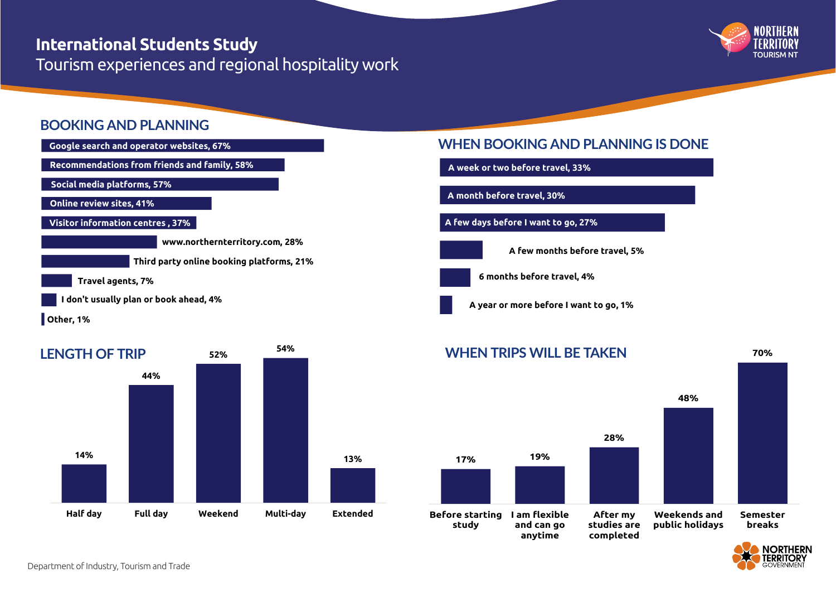# **International Students Study** *International Students Study*

Tourism experiences and regional hospitality work



### **BOOKING AND PLANNING**



**Other, 1%**



### **WHEN BOOKING AND PLANNING IS DONE**